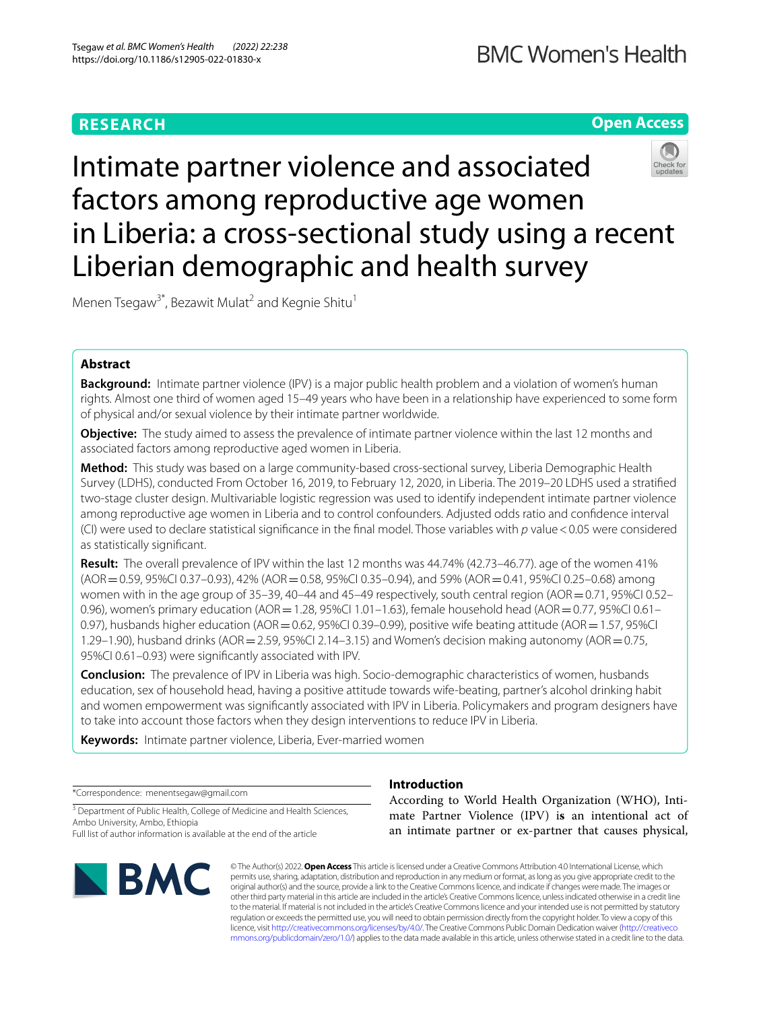# **Open Access**



Intimate partner violence and associated factors among reproductive age women in Liberia: a cross-sectional study using a recent Liberian demographic and health survey

Menen Tsegaw<sup>3\*</sup>, Bezawit Mulat<sup>2</sup> and Kegnie Shitu<sup>1</sup>

# **Abstract**

**Background:** Intimate partner violence (IPV) is a major public health problem and a violation of women's human rights. Almost one third of women aged 15–49 years who have been in a relationship have experienced to some form of physical and/or sexual violence by their intimate partner worldwide.

**Objective:** The study aimed to assess the prevalence of intimate partner violence within the last 12 months and associated factors among reproductive aged women in Liberia.

**Method:** This study was based on a large community-based cross-sectional survey, Liberia Demographic Health Survey (LDHS), conducted From October 16, 2019, to February 12, 2020, in Liberia. The 2019–20 LDHS used a stratifed two-stage cluster design. Multivariable logistic regression was used to identify independent intimate partner violence among reproductive age women in Liberia and to control confounders. Adjusted odds ratio and confdence interval (CI) were used to declare statistical signifcance in the fnal model. Those variables with *p* value<0.05 were considered as statistically signifcant.

**Result:** The overall prevalence of IPV within the last 12 months was 44.74% (42.73–46.77). age of the women 41% (AOR=0.59, 95%CI 0.37–0.93), 42% (AOR=0.58, 95%CI 0.35–0.94), and 59% (AOR=0.41, 95%CI 0.25–0.68) among women with in the age group of  $35-39$ , 40–44 and  $45-49$  respectively, south central region (AOR  $=0.71$ , 95%CI 0.52– 0.96), women's primary education (AOR = 1.28, 95%CI 1.01-1.63), female household head (AOR = 0.77, 95%CI 0.61-0.97), husbands higher education (AOR = 0.62, 95%CI 0.39-0.99), positive wife beating attitude (AOR = 1.57, 95%CI 1.29–1.90), husband drinks (AOR = 2.59, 95%CI 2.14–3.15) and Women's decision making autonomy (AOR = 0.75, 95%CI 0.61–0.93) were signifcantly associated with IPV.

**Conclusion:** The prevalence of IPV in Liberia was high. Socio-demographic characteristics of women, husbands education, sex of household head, having a positive attitude towards wife-beating, partner's alcohol drinking habit and women empowerment was signifcantly associated with IPV in Liberia. Policymakers and program designers have to take into account those factors when they design interventions to reduce IPV in Liberia.

**Keywords:** Intimate partner violence, Liberia, Ever-married women

\*Correspondence: menentsegaw@gmail.com

<sup>3</sup> Department of Public Health, College of Medicine and Health Sciences, Ambo University, Ambo, Ethiopia

Full list of author information is available at the end of the article



# **Introduction**

According to World Health Organization (WHO), Intimate Partner Violence (IPV) i**s** an intentional act of an intimate partner or ex-partner that causes physical,

© The Author(s) 2022. **Open Access** This article is licensed under a Creative Commons Attribution 4.0 International License, which permits use, sharing, adaptation, distribution and reproduction in any medium or format, as long as you give appropriate credit to the original author(s) and the source, provide a link to the Creative Commons licence, and indicate if changes were made. The images or other third party material in this article are included in the article's Creative Commons licence, unless indicated otherwise in a credit line to the material. If material is not included in the article's Creative Commons licence and your intended use is not permitted by statutory regulation or exceeds the permitted use, you will need to obtain permission directly from the copyright holder. To view a copy of this licence, visit [http://creativecommons.org/licenses/by/4.0/.](http://creativecommons.org/licenses/by/4.0/) The Creative Commons Public Domain Dedication waiver ([http://creativeco](http://creativecommons.org/publicdomain/zero/1.0/) [mmons.org/publicdomain/zero/1.0/](http://creativecommons.org/publicdomain/zero/1.0/)) applies to the data made available in this article, unless otherwise stated in a credit line to the data.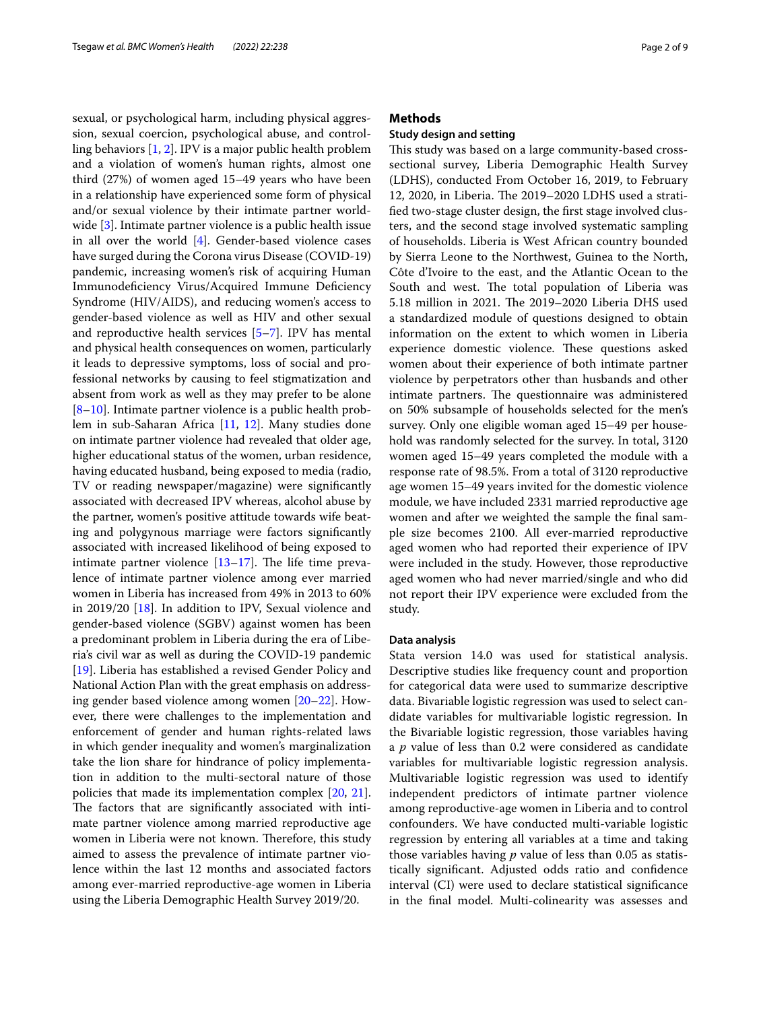sexual, or psychological harm, including physical aggression, sexual coercion, psychological abuse, and controlling behaviors [\[1,](#page-7-0) [2](#page-7-1)]. IPV is a major public health problem and a violation of women's human rights, almost one third (27%) of women aged 15–49 years who have been in a relationship have experienced some form of physical and/or sexual violence by their intimate partner worldwide [\[3](#page-7-2)]. Intimate partner violence is a public health issue in all over the world [\[4](#page-7-3)]. Gender-based violence cases have surged during the Corona virus Disease (COVID-19) pandemic, increasing women's risk of acquiring Human Immunodefciency Virus/Acquired Immune Defciency Syndrome (HIV/AIDS), and reducing women's access to gender-based violence as well as HIV and other sexual and reproductive health services [\[5](#page-7-4)[–7\]](#page-7-5). IPV has mental and physical health consequences on women, particularly it leads to depressive symptoms, loss of social and professional networks by causing to feel stigmatization and absent from work as well as they may prefer to be alone [[8–](#page-7-6)[10\]](#page-7-7). Intimate partner violence is a public health problem in sub-Saharan Africa [\[11,](#page-7-8) [12\]](#page-7-9). Many studies done on intimate partner violence had revealed that older age, higher educational status of the women, urban residence, having educated husband, being exposed to media (radio, TV or reading newspaper/magazine) were signifcantly associated with decreased IPV whereas, alcohol abuse by the partner, women's positive attitude towards wife beating and polygynous marriage were factors signifcantly associated with increased likelihood of being exposed to intimate partner violence  $[13-17]$  $[13-17]$ . The life time prevalence of intimate partner violence among ever married women in Liberia has increased from 49% in 2013 to 60% in 2019/20 [[18\]](#page-7-12). In addition to IPV, Sexual violence and gender-based violence (SGBV) against women has been a predominant problem in Liberia during the era of Liberia's civil war as well as during the COVID-19 pandemic [[19\]](#page-7-13). Liberia has established a revised Gender Policy and National Action Plan with the great emphasis on addressing gender based violence among women [\[20](#page-7-14)[–22\]](#page-7-15). However, there were challenges to the implementation and enforcement of gender and human rights-related laws in which gender inequality and women's marginalization take the lion share for hindrance of policy implementation in addition to the multi-sectoral nature of those policies that made its implementation complex [[20,](#page-7-14) [21](#page-7-16)]. The factors that are significantly associated with intimate partner violence among married reproductive age women in Liberia were not known. Therefore, this study aimed to assess the prevalence of intimate partner violence within the last 12 months and associated factors among ever-married reproductive-age women in Liberia using the Liberia Demographic Health Survey 2019/20.

### **Methods**

### **Study design and setting**

This study was based on a large community-based crosssectional survey, Liberia Demographic Health Survey (LDHS), conducted From October 16, 2019, to February 12, 2020, in Liberia. The 2019–2020 LDHS used a stratifed two-stage cluster design, the frst stage involved clusters, and the second stage involved systematic sampling of households. Liberia is West African country bounded by Sierra Leone to the Northwest, Guinea to the North, Côte d'Ivoire to the east, and the Atlantic Ocean to the South and west. The total population of Liberia was 5.18 million in 2021. The 2019–2020 Liberia DHS used a standardized module of questions designed to obtain information on the extent to which women in Liberia experience domestic violence. These questions asked women about their experience of both intimate partner violence by perpetrators other than husbands and other intimate partners. The questionnaire was administered on 50% subsample of households selected for the men's survey. Only one eligible woman aged 15–49 per household was randomly selected for the survey. In total, 3120 women aged 15–49 years completed the module with a response rate of 98.5%. From a total of 3120 reproductive age women 15–49 years invited for the domestic violence module, we have included 2331 married reproductive age women and after we weighted the sample the fnal sample size becomes 2100. All ever-married reproductive aged women who had reported their experience of IPV were included in the study. However, those reproductive aged women who had never married/single and who did not report their IPV experience were excluded from the study.

#### **Data analysis**

Stata version 14.0 was used for statistical analysis. Descriptive studies like frequency count and proportion for categorical data were used to summarize descriptive data. Bivariable logistic regression was used to select candidate variables for multivariable logistic regression. In the Bivariable logistic regression, those variables having a *p* value of less than 0.2 were considered as candidate variables for multivariable logistic regression analysis. Multivariable logistic regression was used to identify independent predictors of intimate partner violence among reproductive-age women in Liberia and to control confounders. We have conducted multi-variable logistic regression by entering all variables at a time and taking those variables having *p* value of less than 0.05 as statistically signifcant. Adjusted odds ratio and confdence interval (CI) were used to declare statistical signifcance in the fnal model. Multi-colinearity was assesses and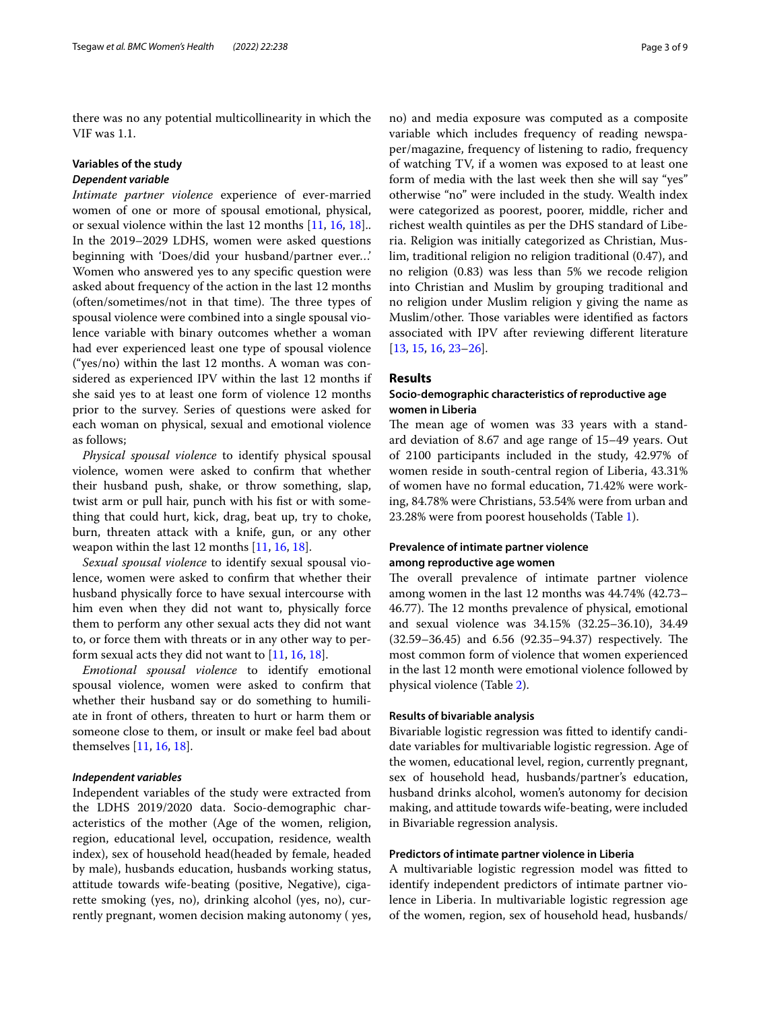there was no any potential multicollinearity in which the VIF was 1.1.

### **Variables of the study**

# *Dependent variable*

*Intimate partner violence* experience of ever-married women of one or more of spousal emotional, physical, or sexual violence within the last 12 months [[11](#page-7-8), [16](#page-7-17), [18\]](#page-7-12).. In the 2019–2029 LDHS, women were asked questions beginning with 'Does/did your husband/partner ever…' Women who answered yes to any specifc question were asked about frequency of the action in the last 12 months (often/sometimes/not in that time). The three types of spousal violence were combined into a single spousal violence variable with binary outcomes whether a woman had ever experienced least one type of spousal violence ("yes/no) within the last 12 months. A woman was considered as experienced IPV within the last 12 months if she said yes to at least one form of violence 12 months prior to the survey. Series of questions were asked for each woman on physical, sexual and emotional violence as follows;

*Physical spousal violence* to identify physical spousal violence, women were asked to confrm that whether their husband push, shake, or throw something, slap, twist arm or pull hair, punch with his fst or with something that could hurt, kick, drag, beat up, try to choke, burn, threaten attack with a knife, gun, or any other weapon within the last 12 months [\[11](#page-7-8), [16](#page-7-17), [18\]](#page-7-12).

*Sexual spousal violence* to identify sexual spousal violence, women were asked to confrm that whether their husband physically force to have sexual intercourse with him even when they did not want to, physically force them to perform any other sexual acts they did not want to, or force them with threats or in any other way to perform sexual acts they did not want to  $[11, 16, 18]$  $[11, 16, 18]$  $[11, 16, 18]$  $[11, 16, 18]$ .

*Emotional spousal violence* to identify emotional spousal violence, women were asked to confrm that whether their husband say or do something to humiliate in front of others, threaten to hurt or harm them or someone close to them, or insult or make feel bad about themselves [\[11,](#page-7-8) [16](#page-7-17), [18\]](#page-7-12).

### *Independent variables*

Independent variables of the study were extracted from the LDHS 2019/2020 data. Socio-demographic characteristics of the mother (Age of the women, religion, region, educational level, occupation, residence, wealth index), sex of household head(headed by female, headed by male), husbands education, husbands working status, attitude towards wife-beating (positive, Negative), cigarette smoking (yes, no), drinking alcohol (yes, no), currently pregnant, women decision making autonomy ( yes, no) and media exposure was computed as a composite variable which includes frequency of reading newspaper/magazine, frequency of listening to radio, frequency of watching TV, if a women was exposed to at least one form of media with the last week then she will say "yes" otherwise "no" were included in the study. Wealth index were categorized as poorest, poorer, middle, richer and richest wealth quintiles as per the DHS standard of Liberia. Religion was initially categorized as Christian, Muslim, traditional religion no religion traditional (0.47), and no religion (0.83) was less than 5% we recode religion into Christian and Muslim by grouping traditional and no religion under Muslim religion y giving the name as Muslim/other. Those variables were identified as factors associated with IPV after reviewing diferent literature [[13,](#page-7-10) [15](#page-7-18), [16,](#page-7-17) [23–](#page-7-19)[26\]](#page-7-20).

#### **Results**

## **Socio‑demographic characteristics of reproductive age women in Liberia**

The mean age of women was 33 years with a standard deviation of 8.67 and age range of 15–49 years. Out of 2100 participants included in the study, 42.97% of women reside in south-central region of Liberia, 43.31% of women have no formal education, 71.42% were working, 84.78% were Christians, 53.54% were from urban and 23.28% were from poorest households (Table [1\)](#page-3-0).

## **Prevalence of intimate partner violence among reproductive age women**

The overall prevalence of intimate partner violence among women in the last 12 months was 44.74% (42.73– 46.77). The 12 months prevalence of physical, emotional and sexual violence was 34.15% (32.25–36.10), 34.49  $(32.59-36.45)$  and  $6.56$   $(92.35-94.37)$  respectively. The most common form of violence that women experienced in the last 12 month were emotional violence followed by physical violence (Table [2\)](#page-3-1).

### **Results of bivariable analysis**

Bivariable logistic regression was ftted to identify candidate variables for multivariable logistic regression. Age of the women, educational level, region, currently pregnant, sex of household head, husbands/partner's education, husband drinks alcohol, women's autonomy for decision making, and attitude towards wife-beating, were included in Bivariable regression analysis.

#### **Predictors of intimate partner violence in Liberia**

A multivariable logistic regression model was ftted to identify independent predictors of intimate partner violence in Liberia. In multivariable logistic regression age of the women, region, sex of household head, husbands/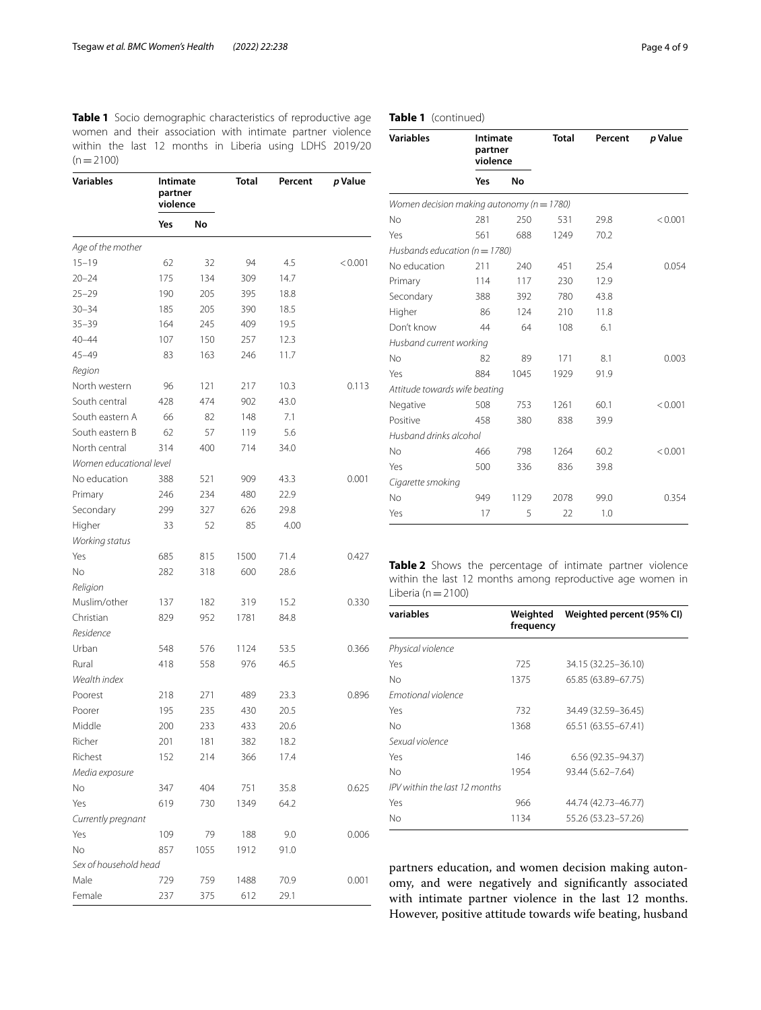<span id="page-3-0"></span>**Table 1** Socio demographic characteristics of reproductive age women and their association with intimate partner violence within the last 12 months in Liberia using LDHS 2019/20  $(n=2100)$ 

| Variables               | Intimate<br>partner<br>violence |      | <b>Total</b> | Percent | p Value |
|-------------------------|---------------------------------|------|--------------|---------|---------|
|                         | Yes                             | No   |              |         |         |
| Age of the mother       |                                 |      |              |         |         |
| $15 - 19$               | 62                              | 32   | 94           | 4.5     | < 0.001 |
| $20 - 24$               | 175                             | 134  | 309          | 14.7    |         |
| $25 - 29$               | 190                             | 205  | 395          | 18.8    |         |
| $30 - 34$               | 185                             | 205  | 390          | 18.5    |         |
| $35 - 39$               | 164                             | 245  | 409          | 19.5    |         |
| $40 - 44$               | 107                             | 150  | 257          | 12.3    |         |
| 45-49                   | 83                              | 163  | 246          | 11.7    |         |
| Region                  |                                 |      |              |         |         |
| North western           | 96                              | 121  | 217          | 10.3    | 0.113   |
| South central           | 428                             | 474  | 902          | 43.0    |         |
| South eastern A         | 66                              | 82   | 148          | 7.1     |         |
| South eastern B         | 62                              | 57   | 119          | 5.6     |         |
| North central           | 314                             | 400  | 714          | 34.0    |         |
| Women educational level |                                 |      |              |         |         |
| No education            | 388                             | 521  | 909          | 43.3    | 0.001   |
| Primary                 | 246                             | 234  | 480          | 22.9    |         |
| Secondary               | 299                             | 327  | 626          | 29.8    |         |
| Higher                  | 33                              | 52   | 85           | 4.00    |         |
| Working status          |                                 |      |              |         |         |
| Yes                     | 685                             | 815  | 1500         | 71.4    | 0.427   |
| No                      | 282                             | 318  | 600          | 28.6    |         |
| Religion                |                                 |      |              |         |         |
| Muslim/other            | 137                             | 182  | 319          | 15.2    | 0.330   |
| Christian               | 829                             | 952  | 1781         | 84.8    |         |
| Residence               |                                 |      |              |         |         |
| Urban                   | 548                             | 576  | 1124         | 53.5    | 0.366   |
| Rural                   | 418                             | 558  | 976          | 46.5    |         |
| Wealth index            |                                 |      |              |         |         |
| Poorest                 | 218                             | 271  | 489          | 23.3    | 0.896   |
| Poorer                  | 195                             | 235  | 430          | 20.5    |         |
| Middle                  | 200                             | 233  | 433          | 20.6    |         |
| Richer                  | 201                             | 181  | 382          | 18.2    |         |
| Richest                 | 152                             | 214  | 366          | 17.4    |         |
| Media exposure          |                                 |      |              |         |         |
| No                      | 347                             | 404  | 751          | 35.8    | 0.625   |
| Yes                     | 619                             | 730  | 1349         | 64.2    |         |
| Currently pregnant      |                                 |      |              |         |         |
| Yes                     | 109                             | 79   | 188          | 9.0     | 0.006   |
| No                      | 857                             | 1055 | 1912         | 91.0    |         |
| Sex of household head   |                                 |      |              |         |         |
| Male                    | 729                             | 759  | 1488         | 70.9    | 0.001   |
| Female                  | 237                             | 375  | 612          | 29.1    |         |

## **Table 1** (continued)

| <b>Variables</b>                              |     | <b>Intimate</b><br>partner<br>violence |      | Percent | p Value |
|-----------------------------------------------|-----|----------------------------------------|------|---------|---------|
|                                               | Yes | No                                     |      |         |         |
| Women decision making autonomy ( $n = 1780$ ) |     |                                        |      |         |         |
| <b>No</b>                                     | 281 | 250                                    | 531  | 29.8    | < 0.001 |
| Yes                                           | 561 | 688                                    | 1249 | 70.2    |         |
| Husbands education ( $n = 1780$ )             |     |                                        |      |         |         |
| No education                                  | 211 | 240                                    | 451  | 25.4    | 0.054   |
| Primary                                       | 114 | 117                                    | 230  | 12.9    |         |
| Secondary                                     | 388 | 392                                    | 780  | 43.8    |         |
| Higher                                        | 86  | 124                                    | 210  | 11.8    |         |
| Don't know                                    | 44  | 64                                     | 108  | 6.1     |         |
| Husband current working                       |     |                                        |      |         |         |
| No                                            | 82  | 89                                     | 171  | 8.1     | 0.003   |
| Yes                                           | 884 | 1045                                   | 1929 | 91.9    |         |
| Attitude towards wife beating                 |     |                                        |      |         |         |
| Negative                                      | 508 | 753                                    | 1261 | 60.1    | < 0.001 |
| Positive                                      | 458 | 380                                    | 838  | 39.9    |         |
| Husband drinks alcohol                        |     |                                        |      |         |         |
| No                                            | 466 | 798                                    | 1264 | 60.2    | < 0.001 |
| Yes                                           | 500 | 336                                    | 836  | 39.8    |         |
| Cigarette smoking                             |     |                                        |      |         |         |
| No                                            | 949 | 1129                                   | 2078 | 99.0    | 0.354   |
| Yes                                           | 17  | 5                                      | 22   | 1.0     |         |

<span id="page-3-1"></span>**Table 2** Shows the percentage of intimate partner violence within the last 12 months among reproductive age women in Liberia ( $n=2100$ )

| variables                     | Weighted<br>frequency | Weighted percent (95% CI) |
|-------------------------------|-----------------------|---------------------------|
| Physical violence             |                       |                           |
| Yes                           | 725                   | 34.15 (32.25 - 36.10)     |
| No                            | 1375                  | 65.85 (63.89-67.75)       |
| <b>Emotional violence</b>     |                       |                           |
| Yes                           | 732                   | 34.49 (32.59–36.45)       |
| No                            | 1368                  | 65.51 (63.55 - 67.41)     |
| Sexual violence               |                       |                           |
| Yes                           | 146                   | $6.56(92.35 - 94.37)$     |
| No                            | 1954                  | 93.44 (5.62-7.64)         |
| IPV within the last 12 months |                       |                           |
| Yes                           | 966                   | 44.74 (42.73-46.77)       |
| No                            | 1134                  | 55.26 (53.23–57.26)       |

partners education, and women decision making autonomy, and were negatively and signifcantly associated with intimate partner violence in the last 12 months. However, positive attitude towards wife beating, husband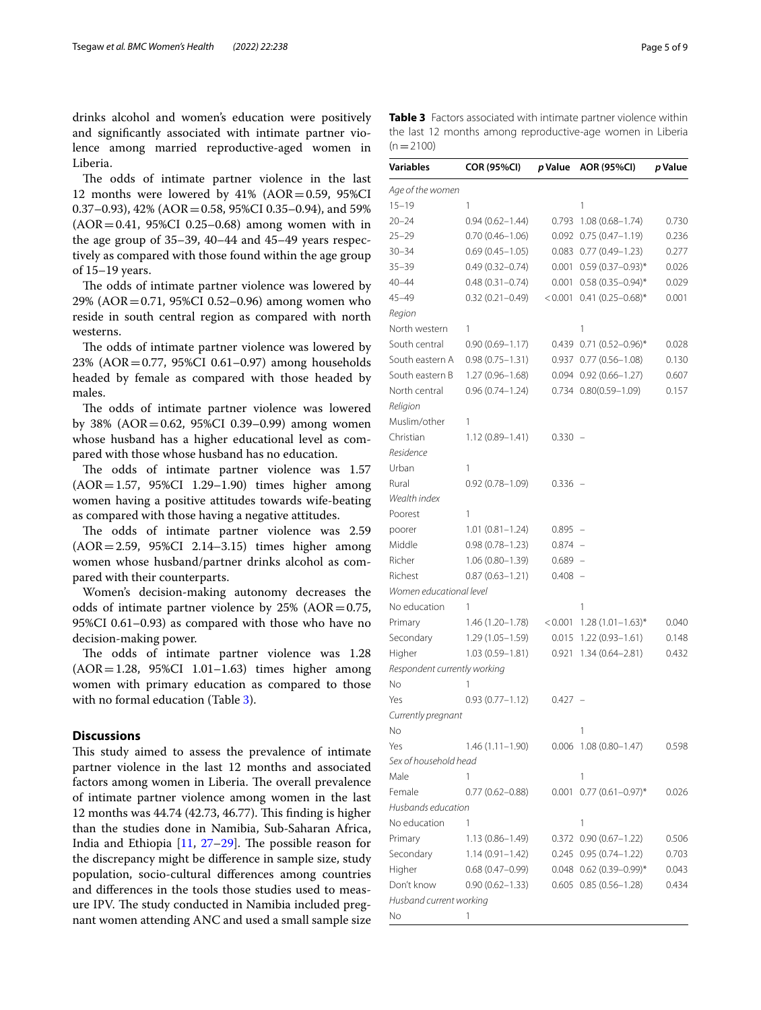drinks alcohol and women's education were positively and signifcantly associated with intimate partner violence among married reproductive-aged women in Liberia.

The odds of intimate partner violence in the last 12 months were lowered by  $41\%$  (AOR=0.59, 95%CI 0.37–0.93), 42% ( $AOR = 0.58$ , 95%CI 0.35–0.94), and 59%  $(AOR = 0.41, 95\% CI \ 0.25 - 0.68)$  among women with in the age group of 35–39, 40–44 and 45–49 years respectively as compared with those found within the age group of 15–19 years.

The odds of intimate partner violence was lowered by 29% (AOR=0.71, 95%CI 0.52–0.96) among women who reside in south central region as compared with north westerns.

The odds of intimate partner violence was lowered by 23% (AOR=0.77, 95%CI 0.61–0.97) among households headed by female as compared with those headed by males.

The odds of intimate partner violence was lowered by 38% (AOR=0.62, 95%CI 0.39–0.99) among women whose husband has a higher educational level as compared with those whose husband has no education.

The odds of intimate partner violence was 1.57 (AOR=1.57, 95%CI 1.29–1.90) times higher among women having a positive attitudes towards wife-beating as compared with those having a negative attitudes.

The odds of intimate partner violence was 2.59 (AOR=2.59, 95%CI 2.14–3.15) times higher among women whose husband/partner drinks alcohol as compared with their counterparts.

Women's decision-making autonomy decreases the odds of intimate partner violence by  $25\%$  (AOR=0.75, 95%CI 0.61–0.93) as compared with those who have no decision-making power.

The odds of intimate partner violence was 1.28 (AOR=1.28, 95%CI 1.01–1.63) times higher among women with primary education as compared to those with no formal education (Table [3](#page-4-0)).

### **Discussions**

This study aimed to assess the prevalence of intimate partner violence in the last 12 months and associated factors among women in Liberia. The overall prevalence of intimate partner violence among women in the last 12 months was 44.74 (42.73, 46.77). This finding is higher than the studies done in Namibia, Sub-Saharan Africa, India and Ethiopia  $[11, 27-29]$  $[11, 27-29]$  $[11, 27-29]$  $[11, 27-29]$ . The possible reason for the discrepancy might be diference in sample size, study population, socio-cultural diferences among countries and diferences in the tools those studies used to measure IPV. The study conducted in Namibia included pregnant women attending ANC and used a small sample size

<span id="page-4-0"></span>**Table 3** Factors associated with intimate partner violence within the last 12 months among reproductive-age women in Liberia  $(n=2100)$ 

| Variables                    | COR (95%CI)         | p Value   | AOR (95%CI)                    | p Value |
|------------------------------|---------------------|-----------|--------------------------------|---------|
| Age of the women             |                     |           |                                |         |
| $15 - 19$                    | 1                   |           | 1                              |         |
| $20 - 24$                    | $0.94(0.62 - 1.44)$ | 0.793     | $1.08(0.68 - 1.74)$            | 0.730   |
| $25 - 29$                    | $0.70(0.46 - 1.06)$ |           | $0.092$ $0.75$ $(0.47-1.19)$   | 0.236   |
| $30 - 34$                    | $0.69(0.45 - 1.05)$ |           | $0.083$ $0.77$ $(0.49-1.23)$   | 0.277   |
| $35 - 39$                    | $0.49(0.32 - 0.74)$ | 0.001     | $0.59(0.37 - 0.93)^*$          | 0.026   |
| $40 - 44$                    | $0.48(0.31 - 0.74)$ | 0.001     | $0.58(0.35 - 0.94)^*$          | 0.029   |
| $45 - 49$                    | $0.32(0.21 - 0.49)$ | < 0.001   | $0.41(0.25 - 0.68)^*$          | 0.001   |
| Region                       |                     |           |                                |         |
| North western                | 1                   |           | 1                              |         |
| South central                | $0.90(0.69 - 1.17)$ |           | $0.439$ 0.71 $(0.52-0.96)^*$   | 0.028   |
| South eastern A              | $0.98(0.75 - 1.31)$ |           | $0.937$ $0.77$ $(0.56 - 1.08)$ | 0.130   |
| South eastern B              | $1.27(0.96 - 1.68)$ |           | $0.094$ $0.92$ $(0.66 - 1.27)$ | 0.607   |
| North central                | $0.96(0.74 - 1.24)$ |           | $0.734$ $0.80(0.59-1.09)$      | 0.157   |
| Religion                     |                     |           |                                |         |
| Muslim/other                 | 1                   |           |                                |         |
| Christian                    | $1.12(0.89 - 1.41)$ | $0.330 -$ |                                |         |
| Residence                    |                     |           |                                |         |
| Urban                        | 1                   |           |                                |         |
| Rural                        | $0.92(0.78 - 1.09)$ | $0.336 -$ |                                |         |
| Wealth index                 |                     |           |                                |         |
| Poorest                      | 1                   |           |                                |         |
| poorer                       | $1.01(0.81 - 1.24)$ | $0.895 -$ |                                |         |
| Middle                       | $0.98(0.78 - 1.23)$ | $0.874 -$ |                                |         |
| Richer                       | $1.06(0.80 - 1.39)$ | $0.689 -$ |                                |         |
| Richest                      | $0.87(0.63 - 1.21)$ | $0.408 -$ |                                |         |
| Women educational level      |                     |           |                                |         |
| No education                 | 1                   |           | 1                              |         |
| Primary                      | $1.46(1.20-1.78)$   | < 0.001   | $1.28(1.01 - 1.63)^{*}$        | 0.040   |
| Secondary                    | $1.29(1.05 - 1.59)$ | 0.015     | $1.22(0.93 - 1.61)$            | 0.148   |
| Higher                       | $1.03(0.59 - 1.81)$ | 0.921     | $1.34(0.64 - 2.81)$            | 0.432   |
| Respondent currently working |                     |           |                                |         |
| No                           | 1                   |           |                                |         |
| Yes                          | $0.93(0.77 - 1.12)$ | 0.427     |                                |         |
| Currently pregnant           |                     |           |                                |         |
| Νo                           |                     |           | 1                              |         |
| Yes                          | $1.46(1.11 - 1.90)$ |           | $0.006$ 1.08 $(0.80-1.47)$     | 0.598   |
| Sex of household head        |                     |           |                                |         |
| Male                         | 1                   |           | 1                              |         |
| Female                       | $0.77(0.62 - 0.88)$ | 0.001     | $0.77(0.61 - 0.97)^*$          | 0.026   |
| Husbands education           |                     |           |                                |         |
| No education                 | 1                   |           | 1                              |         |
| Primary                      | $1.13(0.86 - 1.49)$ |           | $0.372$ $0.90$ $(0.67-1.22)$   | 0.506   |
| Secondary                    | $1.14(0.91 - 1.42)$ |           | 0.245 0.95 (0.74-1.22)         | 0.703   |
| Higher                       | $0.68(0.47-0.99)$   |           | 0.048 0.62 (0.39-0.99)*        | 0.043   |
| Don't know                   | $0.90(0.62 - 1.33)$ |           | $0.605$ $0.85$ $(0.56-1.28)$   | 0.434   |
| Husband current working      |                     |           |                                |         |
| No                           | 1                   |           |                                |         |
|                              |                     |           |                                |         |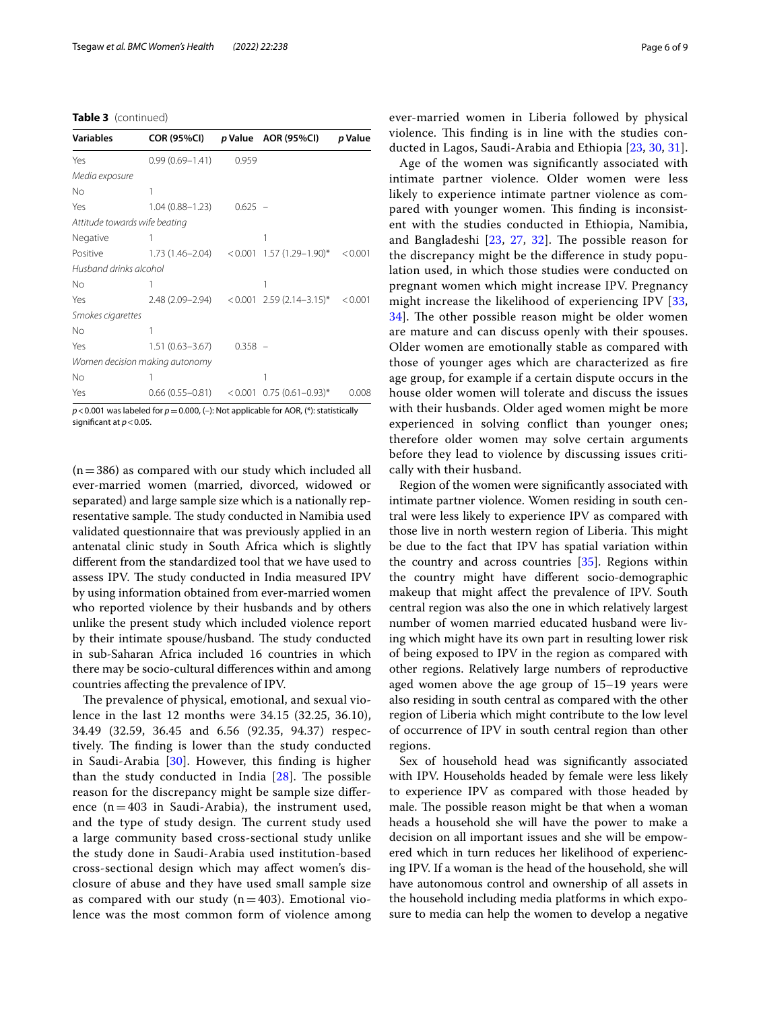|  | Table 3 (continued) |
|--|---------------------|
|--|---------------------|

| <b>Variables</b>              | <b>COR (95%CI)</b>             |           | p Value AOR (95%CI)                                 | p Value |
|-------------------------------|--------------------------------|-----------|-----------------------------------------------------|---------|
| Yes                           | $0.99(0.69 - 1.41)$            | 0.959     |                                                     |         |
| Media exposure                |                                |           |                                                     |         |
| No                            |                                |           |                                                     |         |
| Yes                           | 1.04 (0.88–1.23)               | $0.625 -$ |                                                     |         |
| Attitude towards wife beating |                                |           |                                                     |         |
| Negative                      |                                |           | 1                                                   |         |
| Positive                      | $1.73(1.46-2.04) < 0.001$      |           | 1.57 (1.29–1.90)*                                   | < 0.001 |
| Husband drinks alcohol        |                                |           |                                                     |         |
| No                            |                                |           |                                                     |         |
| Yes                           |                                |           | $2.48(2.09-2.94)$ < 0.001 2.59 (2.14-3.15)* < 0.001 |         |
| Smokes cigarettes             |                                |           |                                                     |         |
| No                            |                                |           |                                                     |         |
| Yes                           | 1.51 (0.63–3.67)               | $0.358 -$ |                                                     |         |
|                               | Women decision making autonomy |           |                                                     |         |
| No                            |                                |           | 1                                                   |         |
| Yes                           | $0.66(0.55-0.81) < 0.001$      |           | $0.75(0.61 - 0.93)^*$                               | 0.008   |

*p*<0.001 was labeled for *p*=0.000, (–): Not applicable for AOR, (\*): statistically significant at  $p < 0.05$ .

 $(n=386)$  as compared with our study which included all ever-married women (married, divorced, widowed or separated) and large sample size which is a nationally representative sample. The study conducted in Namibia used validated questionnaire that was previously applied in an antenatal clinic study in South Africa which is slightly diferent from the standardized tool that we have used to assess IPV. The study conducted in India measured IPV by using information obtained from ever-married women who reported violence by their husbands and by others unlike the present study which included violence report by their intimate spouse/husband. The study conducted in sub-Saharan Africa included 16 countries in which there may be socio-cultural diferences within and among countries afecting the prevalence of IPV.

The prevalence of physical, emotional, and sexual violence in the last 12 months were 34.15 (32.25, 36.10), 34.49 (32.59, 36.45 and 6.56 (92.35, 94.37) respectively. The finding is lower than the study conducted in Saudi-Arabia [[30](#page-8-2)]. However, this fnding is higher than the study conducted in India  $[28]$  $[28]$ . The possible reason for the discrepancy might be sample size diference  $(n=403$  in Saudi-Arabia), the instrument used, and the type of study design. The current study used a large community based cross-sectional study unlike the study done in Saudi-Arabia used institution-based cross-sectional design which may afect women's disclosure of abuse and they have used small sample size as compared with our study  $(n=403)$ . Emotional violence was the most common form of violence among

ever-married women in Liberia followed by physical violence. This finding is in line with the studies conducted in Lagos, Saudi-Arabia and Ethiopia [\[23](#page-7-19), [30](#page-8-2), [31](#page-8-4)].

Age of the women was signifcantly associated with intimate partner violence. Older women were less likely to experience intimate partner violence as compared with younger women. This finding is inconsistent with the studies conducted in Ethiopia, Namibia, and Bangladeshi  $[23, 27, 32]$  $[23, 27, 32]$  $[23, 27, 32]$  $[23, 27, 32]$  $[23, 27, 32]$  $[23, 27, 32]$  $[23, 27, 32]$ . The possible reason for the discrepancy might be the diference in study population used, in which those studies were conducted on pregnant women which might increase IPV. Pregnancy might increase the likelihood of experiencing IPV [\[33](#page-8-6), [34\]](#page-8-7). The other possible reason might be older women are mature and can discuss openly with their spouses. Older women are emotionally stable as compared with those of younger ages which are characterized as fre age group, for example if a certain dispute occurs in the house older women will tolerate and discuss the issues with their husbands. Older aged women might be more experienced in solving confict than younger ones; therefore older women may solve certain arguments before they lead to violence by discussing issues critically with their husband.

Region of the women were signifcantly associated with intimate partner violence. Women residing in south central were less likely to experience IPV as compared with those live in north western region of Liberia. This might be due to the fact that IPV has spatial variation within the country and across countries [\[35](#page-8-8)]. Regions within the country might have diferent socio-demographic makeup that might afect the prevalence of IPV. South central region was also the one in which relatively largest number of women married educated husband were living which might have its own part in resulting lower risk of being exposed to IPV in the region as compared with other regions. Relatively large numbers of reproductive aged women above the age group of 15–19 years were also residing in south central as compared with the other region of Liberia which might contribute to the low level of occurrence of IPV in south central region than other regions.

Sex of household head was signifcantly associated with IPV. Households headed by female were less likely to experience IPV as compared with those headed by male. The possible reason might be that when a woman heads a household she will have the power to make a decision on all important issues and she will be empowered which in turn reduces her likelihood of experiencing IPV. If a woman is the head of the household, she will have autonomous control and ownership of all assets in the household including media platforms in which exposure to media can help the women to develop a negative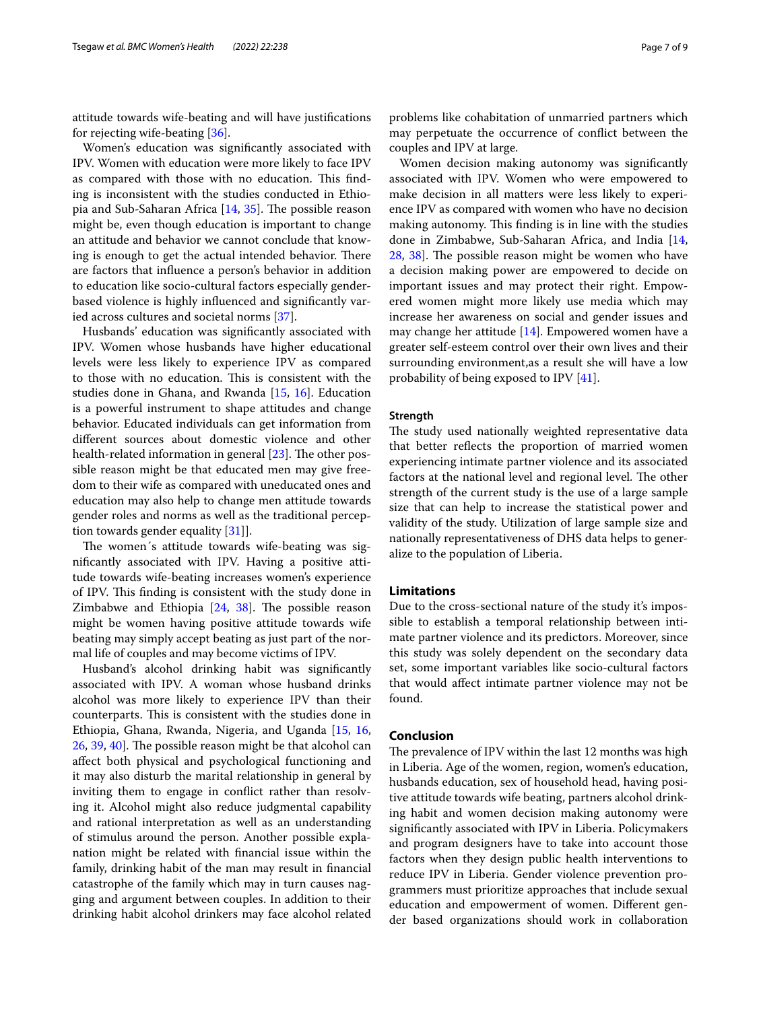attitude towards wife-beating and will have justifcations for rejecting wife-beating [\[36](#page-8-9)].

Women's education was signifcantly associated with IPV. Women with education were more likely to face IPV as compared with those with no education. This finding is inconsistent with the studies conducted in Ethiopia and Sub-Saharan Africa  $[14, 35]$  $[14, 35]$  $[14, 35]$ . The possible reason might be, even though education is important to change an attitude and behavior we cannot conclude that knowing is enough to get the actual intended behavior. There are factors that infuence a person's behavior in addition to education like socio-cultural factors especially genderbased violence is highly infuenced and signifcantly varied across cultures and societal norms [\[37](#page-8-10)].

Husbands' education was signifcantly associated with IPV. Women whose husbands have higher educational levels were less likely to experience IPV as compared to those with no education. This is consistent with the studies done in Ghana, and Rwanda [[15,](#page-7-18) [16](#page-7-17)]. Education is a powerful instrument to shape attitudes and change behavior. Educated individuals can get information from diferent sources about domestic violence and other health-related information in general  $[23]$ . The other possible reason might be that educated men may give freedom to their wife as compared with uneducated ones and education may also help to change men attitude towards gender roles and norms as well as the traditional perception towards gender equality [[31\]](#page-8-4)].

The women's attitude towards wife-beating was signifcantly associated with IPV. Having a positive attitude towards wife-beating increases women's experience of IPV. This finding is consistent with the study done in Zimbabwe and Ethiopia  $[24, 38]$  $[24, 38]$  $[24, 38]$  $[24, 38]$ . The possible reason might be women having positive attitude towards wife beating may simply accept beating as just part of the normal life of couples and may become victims of IPV.

Husband's alcohol drinking habit was signifcantly associated with IPV. A woman whose husband drinks alcohol was more likely to experience IPV than their counterparts. This is consistent with the studies done in Ethiopia, Ghana, Rwanda, Nigeria, and Uganda [[15,](#page-7-18) [16](#page-7-17), [26,](#page-7-20) [39](#page-8-12), [40\]](#page-8-13). The possible reason might be that alcohol can afect both physical and psychological functioning and it may also disturb the marital relationship in general by inviting them to engage in confict rather than resolving it. Alcohol might also reduce judgmental capability and rational interpretation as well as an understanding of stimulus around the person. Another possible explanation might be related with fnancial issue within the family, drinking habit of the man may result in fnancial catastrophe of the family which may in turn causes nagging and argument between couples. In addition to their drinking habit alcohol drinkers may face alcohol related problems like cohabitation of unmarried partners which may perpetuate the occurrence of confict between the couples and IPV at large.

Women decision making autonomy was signifcantly associated with IPV. Women who were empowered to make decision in all matters were less likely to experience IPV as compared with women who have no decision making autonomy. This finding is in line with the studies done in Zimbabwe, Sub-Saharan Africa, and India [[14](#page-7-21), [28,](#page-8-3) [38](#page-8-11)]. The possible reason might be women who have a decision making power are empowered to decide on important issues and may protect their right. Empowered women might more likely use media which may increase her awareness on social and gender issues and may change her attitude [[14\]](#page-7-21). Empowered women have a greater self-esteem control over their own lives and their surrounding environment,as a result she will have a low probability of being exposed to IPV [\[41](#page-8-14)].

#### **Strength**

The study used nationally weighted representative data that better refects the proportion of married women experiencing intimate partner violence and its associated factors at the national level and regional level. The other strength of the current study is the use of a large sample size that can help to increase the statistical power and validity of the study. Utilization of large sample size and nationally representativeness of DHS data helps to generalize to the population of Liberia.

### **Limitations**

Due to the cross-sectional nature of the study it's impossible to establish a temporal relationship between intimate partner violence and its predictors. Moreover, since this study was solely dependent on the secondary data set, some important variables like socio-cultural factors that would afect intimate partner violence may not be found.

### **Conclusion**

The prevalence of IPV within the last 12 months was high in Liberia. Age of the women, region, women's education, husbands education, sex of household head, having positive attitude towards wife beating, partners alcohol drinking habit and women decision making autonomy were signifcantly associated with IPV in Liberia. Policymakers and program designers have to take into account those factors when they design public health interventions to reduce IPV in Liberia. Gender violence prevention programmers must prioritize approaches that include sexual education and empowerment of women. Diferent gender based organizations should work in collaboration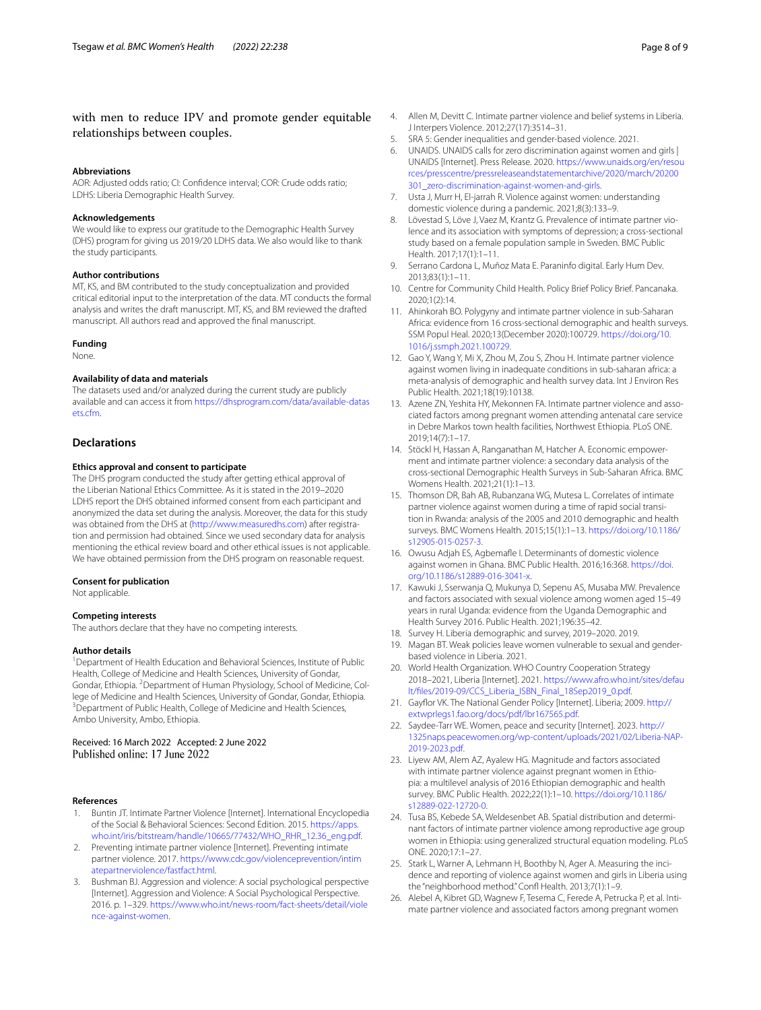# with men to reduce IPV and promote gender equitable relationships between couples.

#### **Abbreviations**

AOR: Adjusted odds ratio; CI: Confdence interval; COR: Crude odds ratio; LDHS: Liberia Demographic Health Survey.

#### **Acknowledgements**

We would like to express our gratitude to the Demographic Health Survey (DHS) program for giving us 2019/20 LDHS data. We also would like to thank the study participants.

#### **Author contributions**

MT, KS, and BM contributed to the study conceptualization and provided critical editorial input to the interpretation of the data. MT conducts the formal analysis and writes the draft manuscript. MT, KS, and BM reviewed the drafted manuscript. All authors read and approved the fnal manuscript.

#### **Funding**

None.

### **Availability of data and materials**

The datasets used and/or analyzed during the current study are publicly available and can access it from [https://dhsprogram.com/data/available-datas](https://dhsprogram.com/data/available-datasets.cfm) [ets.cfm](https://dhsprogram.com/data/available-datasets.cfm).

## **Declarations**

#### **Ethics approval and consent to participate**

The DHS program conducted the study after getting ethical approval of the Liberian National Ethics Committee. As it is stated in the 2019–2020 LDHS report the DHS obtained informed consent from each participant and anonymized the data set during the analysis. Moreover, the data for this study was obtained from the DHS at [\(http://www.measuredhs.com](http://www.measuredhs.com)) after registration and permission had obtained. Since we used secondary data for analysis mentioning the ethical review board and other ethical issues is not applicable. We have obtained permission from the DHS program on reasonable request.

#### **Consent for publication**

Not applicable.

#### **Competing interests**

The authors declare that they have no competing interests.

#### **Author details**

<sup>1</sup> Department of Health Education and Behavioral Sciences, Institute of Public Health, College of Medicine and Health Sciences, University of Gondar, Gondar, Ethiopia. <sup>2</sup> Department of Human Physiology, School of Medicine, College of Medicine and Health Sciences, University of Gondar, Gondar, Ethiopia. <sup>3</sup> Department of Public Health, College of Medicine and Health Sciences, Ambo University, Ambo, Ethiopia.

Received: 16 March 2022 Accepted: 2 June 2022<br>Published online: 17 June 2022

#### **References**

- <span id="page-7-0"></span>1. Buntin JT. Intimate Partner Violence [Internet]. International Encyclopedia of the Social & Behavioral Sciences: Second Edition. 2015. [https://apps.](https://apps.who.int/iris/bitstream/handle/10665/77432/WHO_RHR_12.36_eng.pdf) [who.int/iris/bitstream/handle/10665/77432/WHO\\_RHR\\_12.36\\_eng.pdf](https://apps.who.int/iris/bitstream/handle/10665/77432/WHO_RHR_12.36_eng.pdf).
- <span id="page-7-1"></span>2. Preventing intimate partner violence [Internet]. Preventing intimate partner violence. 2017. [https://www.cdc.gov/violenceprevention/intim](https://www.cdc.gov/violenceprevention/intimatepartnerviolence/fastfact.html) [atepartnerviolence/fastfact.html](https://www.cdc.gov/violenceprevention/intimatepartnerviolence/fastfact.html).
- <span id="page-7-2"></span>Bushman BJ. Aggression and violence: A social psychological perspective [Internet]. Aggression and Violence: A Social Psychological Perspective. 2016. p. 1–329. [https://www.who.int/news-room/fact-sheets/detail/viole](https://www.who.int/news-room/fact-sheets/detail/violence-against-women) [nce-against-women.](https://www.who.int/news-room/fact-sheets/detail/violence-against-women)
- <span id="page-7-3"></span>4. Allen M, Devitt C. Intimate partner violence and belief systems in Liberia. J Interpers Violence. 2012;27(17):3514–31.
- <span id="page-7-4"></span>5. SRA 5: Gender inequalities and gender-based violence. 2021.
- 6. UNAIDS. UNAIDS calls for zero discrimination against women and girls | UNAIDS [Internet]. Press Release. 2020. [https://www.unaids.org/en/resou](https://www.unaids.org/en/resources/presscentre/pressreleaseandstatementarchive/2020/march/20200301_zero-discrimination-against-women-and-girls) [rces/presscentre/pressreleaseandstatementarchive/2020/march/20200](https://www.unaids.org/en/resources/presscentre/pressreleaseandstatementarchive/2020/march/20200301_zero-discrimination-against-women-and-girls) [301\\_zero-discrimination-against-women-and-girls.](https://www.unaids.org/en/resources/presscentre/pressreleaseandstatementarchive/2020/march/20200301_zero-discrimination-against-women-and-girls)
- <span id="page-7-5"></span>7. Usta J, Murr H, El-jarrah R. Violence against women: understanding domestic violence during a pandemic. 2021;8(3):133–9.
- <span id="page-7-6"></span>8. Lövestad S, Löve J, Vaez M, Krantz G. Prevalence of intimate partner violence and its association with symptoms of depression; a cross-sectional study based on a female population sample in Sweden. BMC Public Health. 2017;17(1):1–11.
- Serrano Cardona L, Muñoz Mata E. Paraninfo digital. Early Hum Dev. 2013;83(1):1–11.
- <span id="page-7-7"></span>10. Centre for Community Child Health. Policy Brief Policy Brief. Pancanaka. 2020;1(2):14.
- <span id="page-7-8"></span>11. Ahinkorah BO. Polygyny and intimate partner violence in sub-Saharan Africa: evidence from 16 cross-sectional demographic and health surveys. SSM Popul Heal. 2020;13(December 2020):100729. [https://doi.org/10.](https://doi.org/10.1016/j.ssmph.2021.100729) [1016/j.ssmph.2021.100729.](https://doi.org/10.1016/j.ssmph.2021.100729)
- <span id="page-7-9"></span>12. Gao Y, Wang Y, Mi X, Zhou M, Zou S, Zhou H. Intimate partner violence against women living in inadequate conditions in sub-saharan africa: a meta-analysis of demographic and health survey data. Int J Environ Res Public Health. 2021;18(19):10138.
- <span id="page-7-10"></span>13. Azene ZN, Yeshita HY, Mekonnen FA. Intimate partner violence and associated factors among pregnant women attending antenatal care service in Debre Markos town health facilities, Northwest Ethiopia. PLoS ONE. 2019;14(7):1–17.
- <span id="page-7-21"></span>14. Stöckl H, Hassan A, Ranganathan M, Hatcher A. Economic empowerment and intimate partner violence: a secondary data analysis of the cross-sectional Demographic Health Surveys in Sub-Saharan Africa. BMC Womens Health. 2021;21(1):1–13.
- <span id="page-7-18"></span>15. Thomson DR, Bah AB, Rubanzana WG, Mutesa L. Correlates of intimate partner violence against women during a time of rapid social transition in Rwanda: analysis of the 2005 and 2010 demographic and health surveys. BMC Womens Health. 2015;15(1):1–13. [https://doi.org/10.1186/](https://doi.org/10.1186/s12905-015-0257-3) [s12905-015-0257-3.](https://doi.org/10.1186/s12905-015-0257-3)
- <span id="page-7-17"></span>16. Owusu Adjah ES, Agbemafle I. Determinants of domestic violence against women in Ghana. BMC Public Health. 2016;16:368. [https://doi.](https://doi.org/10.1186/s12889-016-3041-x) [org/10.1186/s12889-016-3041-x](https://doi.org/10.1186/s12889-016-3041-x).
- <span id="page-7-11"></span>17. Kawuki J, Sserwanja Q, Mukunya D, Sepenu AS, Musaba MW. Prevalence and factors associated with sexual violence among women aged 15–49 years in rural Uganda: evidence from the Uganda Demographic and Health Survey 2016. Public Health. 2021;196:35–42.
- <span id="page-7-12"></span>18. Survey H. Liberia demographic and survey, 2019–2020. 2019.
- <span id="page-7-13"></span>19. Magan BT. Weak policies leave women vulnerable to sexual and genderbased violence in Liberia. 2021.
- <span id="page-7-14"></span>20. World Health Organization. WHO Country Cooperation Strategy 2018–2021, Liberia [Internet]. 2021. [https://www.afro.who.int/sites/defau](https://www.afro.who.int/sites/default/files/2019-09/CCS_Liberia_ISBN_Final_18Sep2019_0.pdf) [lt/fles/2019-09/CCS\\_Liberia\\_ISBN\\_Final\\_18Sep2019\\_0.pdf.](https://www.afro.who.int/sites/default/files/2019-09/CCS_Liberia_ISBN_Final_18Sep2019_0.pdf)
- <span id="page-7-16"></span>21. Gayfor VK. The National Gender Policy [Internet]. Liberia; 2009. [http://](http://extwprlegs1.fao.org/docs/pdf/lbr167565.pdf) [extwprlegs1.fao.org/docs/pdf/lbr167565.pdf](http://extwprlegs1.fao.org/docs/pdf/lbr167565.pdf).
- <span id="page-7-15"></span>22. Saydee-Tarr WE. Women, peace and security [Internet]. 2023. [http://](http://1325naps.peacewomen.org/wp-content/uploads/2021/02/Liberia-NAP-2019-2023.pdf) [1325naps.peacewomen.org/wp-content/uploads/2021/02/Liberia-NAP-](http://1325naps.peacewomen.org/wp-content/uploads/2021/02/Liberia-NAP-2019-2023.pdf)[2019-2023.pdf.](http://1325naps.peacewomen.org/wp-content/uploads/2021/02/Liberia-NAP-2019-2023.pdf)
- <span id="page-7-19"></span>23. Liyew AM, Alem AZ, Ayalew HG. Magnitude and factors associated with intimate partner violence against pregnant women in Ethiopia: a multilevel analysis of 2016 Ethiopian demographic and health survey. BMC Public Health. 2022;22(1):1–10. [https://doi.org/10.1186/](https://doi.org/10.1186/s12889-022-12720-0) [s12889-022-12720-0](https://doi.org/10.1186/s12889-022-12720-0).
- <span id="page-7-22"></span>24. Tusa BS, Kebede SA, Weldesenbet AB. Spatial distribution and determinant factors of intimate partner violence among reproductive age group women in Ethiopia: using generalized structural equation modeling. PLoS ONE. 2020;17:1–27.
- 25. Stark L, Warner A, Lehmann H, Boothby N, Ager A. Measuring the incidence and reporting of violence against women and girls in Liberia using the "neighborhood method." Conf Health. 2013;7(1):1–9.
- <span id="page-7-20"></span>26. Alebel A, Kibret GD, Wagnew F, Tesema C, Ferede A, Petrucka P, et al. Intimate partner violence and associated factors among pregnant women